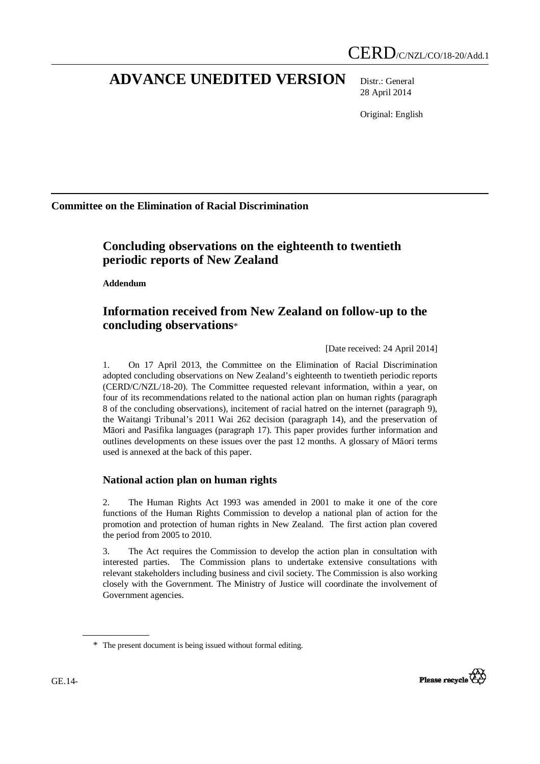# **ADVANCE UNEDITED VERSION** Distr.: General

28 April 2014

Original: English

**Committee on the Elimination of Racial Discrimination** 

# **Concluding observations on the eighteenth to twentieth periodic reports of New Zealand**

 **Addendum** 

## **Information received from New Zealand on follow-up to the concluding observations**\*

[Date received: 24 April 2014]

1. On 17 April 2013, the Committee on the Elimination of Racial Discrimination adopted concluding observations on New Zealand's eighteenth to twentieth periodic reports (CERD/C/NZL/18-20). The Committee requested relevant information, within a year, on four of its recommendations related to the national action plan on human rights (paragraph 8 of the concluding observations), incitement of racial hatred on the internet (paragraph 9), the Waitangi Tribunal's 2011 Wai 262 decision (paragraph 14), and the preservation of Māori and Pasifika languages (paragraph 17). This paper provides further information and outlines developments on these issues over the past 12 months. A glossary of Māori terms used is annexed at the back of this paper.

## **National action plan on human rights**

2. The Human Rights Act 1993 was amended in 2001 to make it one of the core functions of the Human Rights Commission to develop a national plan of action for the promotion and protection of human rights in New Zealand. The first action plan covered the period from 2005 to 2010.

3. The Act requires the Commission to develop the action plan in consultation with interested parties. The Commission plans to undertake extensive consultations with relevant stakeholders including business and civil society. The Commission is also working closely with the Government. The Ministry of Justice will coordinate the involvement of Government agencies.



<sup>\*</sup> The present document is being issued without formal editing.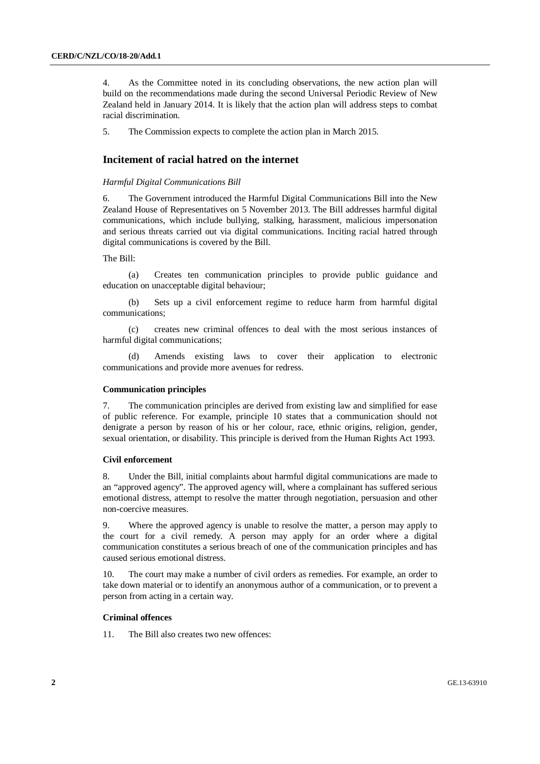4. As the Committee noted in its concluding observations, the new action plan will build on the recommendations made during the second Universal Periodic Review of New Zealand held in January 2014. It is likely that the action plan will address steps to combat racial discrimination.

5. The Commission expects to complete the action plan in March 2015.

## **Incitement of racial hatred on the internet**

#### *Harmful Digital Communications Bill*

6. The Government introduced the Harmful Digital Communications Bill into the New Zealand House of Representatives on 5 November 2013. The Bill addresses harmful digital communications, which include bullying, stalking, harassment, malicious impersonation and serious threats carried out via digital communications. Inciting racial hatred through digital communications is covered by the Bill.

The Bill:

(a) Creates ten communication principles to provide public guidance and education on unacceptable digital behaviour;

(b) Sets up a civil enforcement regime to reduce harm from harmful digital communications;

(c) creates new criminal offences to deal with the most serious instances of harmful digital communications;

(d) Amends existing laws to cover their application to electronic communications and provide more avenues for redress.

#### **Communication principles**

7. The communication principles are derived from existing law and simplified for ease of public reference. For example, principle 10 states that a communication should not denigrate a person by reason of his or her colour, race, ethnic origins, religion, gender, sexual orientation, or disability. This principle is derived from the Human Rights Act 1993.

#### **Civil enforcement**

8. Under the Bill, initial complaints about harmful digital communications are made to an "approved agency". The approved agency will, where a complainant has suffered serious emotional distress, attempt to resolve the matter through negotiation, persuasion and other non-coercive measures.

9. Where the approved agency is unable to resolve the matter, a person may apply to the court for a civil remedy. A person may apply for an order where a digital communication constitutes a serious breach of one of the communication principles and has caused serious emotional distress.

10. The court may make a number of civil orders as remedies. For example, an order to take down material or to identify an anonymous author of a communication, or to prevent a person from acting in a certain way.

## **Criminal offences**

11. The Bill also creates two new offences: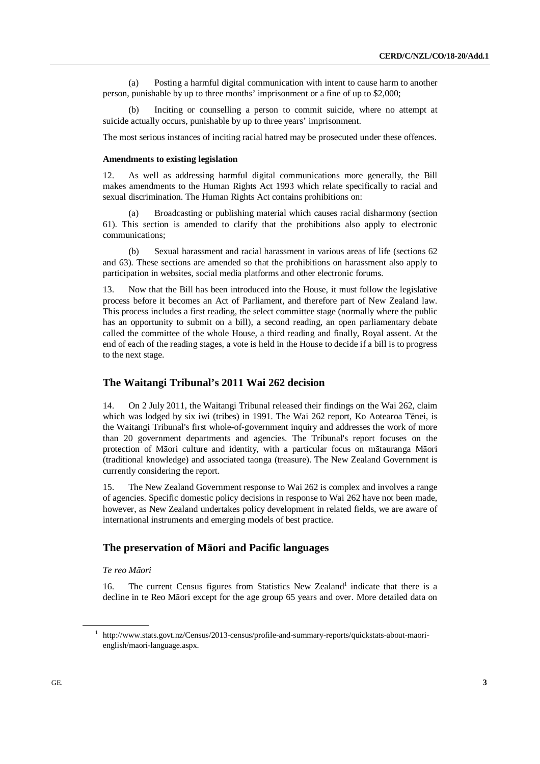(a) Posting a harmful digital communication with intent to cause harm to another person, punishable by up to three months' imprisonment or a fine of up to \$2,000;

(b) Inciting or counselling a person to commit suicide, where no attempt at suicide actually occurs, punishable by up to three years' imprisonment.

The most serious instances of inciting racial hatred may be prosecuted under these offences.

#### **Amendments to existing legislation**

12. As well as addressing harmful digital communications more generally, the Bill makes amendments to the Human Rights Act 1993 which relate specifically to racial and sexual discrimination. The Human Rights Act contains prohibitions on:

Broadcasting or publishing material which causes racial disharmony (section 61). This section is amended to clarify that the prohibitions also apply to electronic communications;

(b) Sexual harassment and racial harassment in various areas of life (sections 62 and 63). These sections are amended so that the prohibitions on harassment also apply to participation in websites, social media platforms and other electronic forums.

13. Now that the Bill has been introduced into the House, it must follow the legislative process before it becomes an Act of Parliament, and therefore part of New Zealand law. This process includes a first reading, the select committee stage (normally where the public has an opportunity to submit on a bill), a second reading, an open parliamentary debate called the committee of the whole House, a third reading and finally, Royal assent. At the end of each of the reading stages, a vote is held in the House to decide if a bill is to progress to the next stage.

## **The Waitangi Tribunal's 2011 Wai 262 decision**

14. On 2 July 2011, the Waitangi Tribunal released their findings on the Wai 262, claim which was lodged by six iwi (tribes) in 1991. The Wai 262 report, Ko Aotearoa Tēnei, is the Waitangi Tribunal's first whole-of-government inquiry and addresses the work of more than 20 government departments and agencies. The Tribunal's report focuses on the protection of Māori culture and identity, with a particular focus on mātauranga Māori (traditional knowledge) and associated taonga (treasure). The New Zealand Government is currently considering the report.

15. The New Zealand Government response to Wai 262 is complex and involves a range of agencies. Specific domestic policy decisions in response to Wai 262 have not been made, however, as New Zealand undertakes policy development in related fields, we are aware of international instruments and emerging models of best practice.

## **The preservation of M**ā**ori and Pacific languages**

 *Te reo M*ā*ori* 

16. The current Census figures from Statistics New Zealand<sup>1</sup> indicate that there is a decline in te Reo Māori except for the age group 65 years and over. More detailed data on

<sup>1</sup> http://www.stats.govt.nz/Census/2013-census/profile-and-summary-reports/quickstats-about-maorienglish/maori-language.aspx.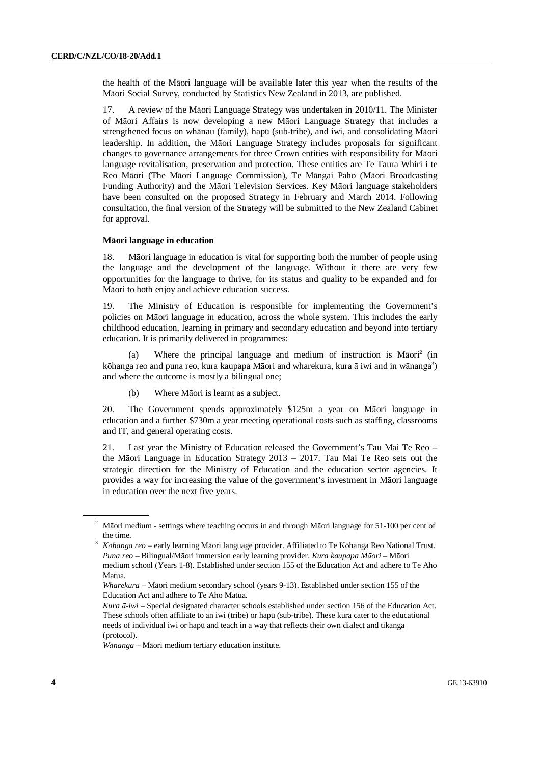the health of the Māori language will be available later this year when the results of the Māori Social Survey, conducted by Statistics New Zealand in 2013, are published.

17. A review of the Māori Language Strategy was undertaken in 2010/11. The Minister of Māori Affairs is now developing a new Māori Language Strategy that includes a strengthened focus on whānau (family), hapū (sub-tribe), and iwi, and consolidating Māori leadership. In addition, the Māori Language Strategy includes proposals for significant changes to governance arrangements for three Crown entities with responsibility for Māori language revitalisation, preservation and protection. These entities are Te Taura Whiri i te Reo Māori (The Māori Language Commission), Te Māngai Paho (Māori Broadcasting Funding Authority) and the Māori Television Services. Key Māori language stakeholders have been consulted on the proposed Strategy in February and March 2014. Following consultation, the final version of the Strategy will be submitted to the New Zealand Cabinet for approval.

### **M**ā**ori language in education**

18. Māori language in education is vital for supporting both the number of people using the language and the development of the language. Without it there are very few opportunities for the language to thrive, for its status and quality to be expanded and for Māori to both enjoy and achieve education success.

19. The Ministry of Education is responsible for implementing the Government's policies on Māori language in education, across the whole system. This includes the early childhood education, learning in primary and secondary education and beyond into tertiary education. It is primarily delivered in programmes:

(a) Where the principal language and medium of instruction is Māori<sup>2</sup> (in kōhanga reo and puna reo, kura kaupapa Māori and wharekura, kura ā iwi and in wānanga<sup>3</sup>) and where the outcome is mostly a bilingual one;

(b) Where Māori is learnt as a subject.

20. The Government spends approximately \$125m a year on Māori language in education and a further \$730m a year meeting operational costs such as staffing, classrooms and IT, and general operating costs.

21. Last year the Ministry of Education released the Government's Tau Mai Te Reo – the Māori Language in Education Strategy 2013 – 2017. Tau Mai Te Reo sets out the strategic direction for the Ministry of Education and the education sector agencies. It provides a way for increasing the value of the government's investment in Māori language in education over the next five years.

<sup>&</sup>lt;sup>2</sup> Māori medium - settings where teaching occurs in and through Māori language for 51-100 per cent of the time.

<sup>3</sup> *K*ō*hanga reo* – early learning Māori language provider. Affiliated to Te Kōhanga Reo National Trust.  *Puna reo* – Bilingual/Māori immersion early learning provider. *Kura kaupapa M*ā*ori* – Māori medium school (Years 1-8). Established under section 155 of the Education Act and adhere to Te Aho Matua.

*Wharekura* – Māori medium secondary school (years 9-13). Established under section 155 of the Education Act and adhere to Te Aho Matua.

*Kura* ā*-iwi* – Special designated character schools established under section 156 of the Education Act. These schools often affiliate to an iwi (tribe) or hapū (sub-tribe). These kura cater to the educational needs of individual iwi or hapū and teach in a way that reflects their own dialect and tikanga (protocol).

*W*ā*nanga* – Māori medium tertiary education institute.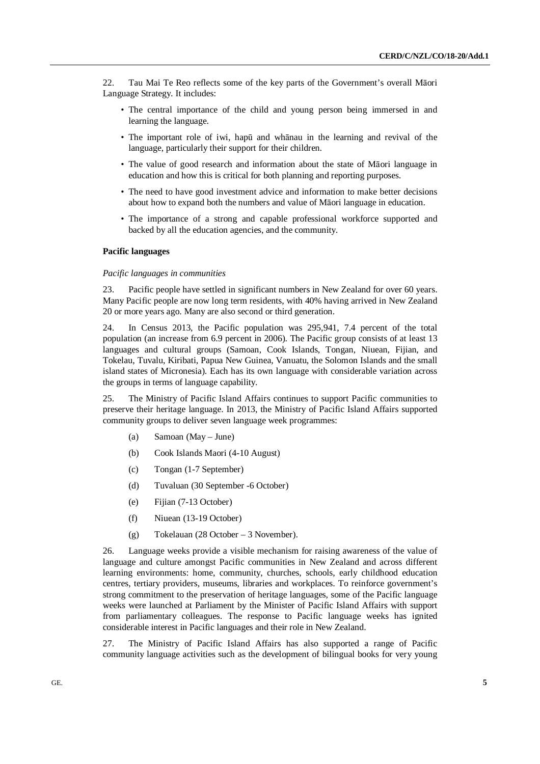22. Tau Mai Te Reo reflects some of the key parts of the Government's overall Māori Language Strategy. It includes:

- The central importance of the child and young person being immersed in and learning the language.
- The important role of iwi, hapū and whānau in the learning and revival of the language, particularly their support for their children.
- The value of good research and information about the state of Māori language in education and how this is critical for both planning and reporting purposes.
- The need to have good investment advice and information to make better decisions about how to expand both the numbers and value of Māori language in education.
- The importance of a strong and capable professional workforce supported and backed by all the education agencies, and the community.

## **Pacific languages**

## *Pacific languages in communities*

23. Pacific people have settled in significant numbers in New Zealand for over 60 years. Many Pacific people are now long term residents, with 40% having arrived in New Zealand 20 or more years ago. Many are also second or third generation.

24. In Census 2013, the Pacific population was 295,941, 7.4 percent of the total population (an increase from 6.9 percent in 2006). The Pacific group consists of at least 13 languages and cultural groups (Samoan, Cook Islands, Tongan, Niuean, Fijian, and Tokelau, Tuvalu, Kiribati, Papua New Guinea, Vanuatu, the Solomon Islands and the small island states of Micronesia). Each has its own language with considerable variation across the groups in terms of language capability.

25. The Ministry of Pacific Island Affairs continues to support Pacific communities to preserve their heritage language. In 2013, the Ministry of Pacific Island Affairs supported community groups to deliver seven language week programmes:

- (a) Samoan (May June)
- (b) Cook Islands Maori (4-10 August)
- (c) Tongan (1-7 September)
- (d) Tuvaluan (30 September -6 October)
- (e) Fijian (7-13 October)
- (f) Niuean (13-19 October)
- (g) Tokelauan (28 October 3 November).

26. Language weeks provide a visible mechanism for raising awareness of the value of language and culture amongst Pacific communities in New Zealand and across different learning environments: home, community, churches, schools, early childhood education centres, tertiary providers, museums, libraries and workplaces. To reinforce government's strong commitment to the preservation of heritage languages, some of the Pacific language weeks were launched at Parliament by the Minister of Pacific Island Affairs with support from parliamentary colleagues. The response to Pacific language weeks has ignited considerable interest in Pacific languages and their role in New Zealand.

27. The Ministry of Pacific Island Affairs has also supported a range of Pacific community language activities such as the development of bilingual books for very young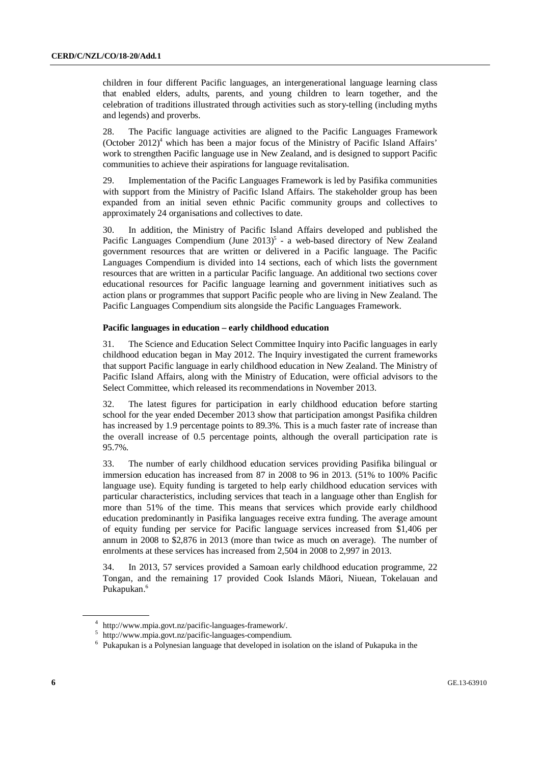children in four different Pacific languages, an intergenerational language learning class that enabled elders, adults, parents, and young children to learn together, and the celebration of traditions illustrated through activities such as story-telling (including myths and legends) and proverbs.

28. The Pacific language activities are aligned to the Pacific Languages Framework (October  $2012$ <sup>4</sup> which has been a major focus of the Ministry of Pacific Island Affairs' work to strengthen Pacific language use in New Zealand, and is designed to support Pacific communities to achieve their aspirations for language revitalisation.

29. Implementation of the Pacific Languages Framework is led by Pasifika communities with support from the Ministry of Pacific Island Affairs. The stakeholder group has been expanded from an initial seven ethnic Pacific community groups and collectives to approximately 24 organisations and collectives to date.

30. In addition, the Ministry of Pacific Island Affairs developed and published the Pacific Languages Compendium (June  $2013$ )<sup>5</sup> - a web-based directory of New Zealand government resources that are written or delivered in a Pacific language. The Pacific Languages Compendium is divided into 14 sections, each of which lists the government resources that are written in a particular Pacific language. An additional two sections cover educational resources for Pacific language learning and government initiatives such as action plans or programmes that support Pacific people who are living in New Zealand. The Pacific Languages Compendium sits alongside the Pacific Languages Framework.

### **Pacific languages in education – early childhood education**

31. The Science and Education Select Committee Inquiry into Pacific languages in early childhood education began in May 2012. The Inquiry investigated the current frameworks that support Pacific language in early childhood education in New Zealand. The Ministry of Pacific Island Affairs, along with the Ministry of Education, were official advisors to the Select Committee, which released its recommendations in November 2013.

32. The latest figures for participation in early childhood education before starting school for the year ended December 2013 show that participation amongst Pasifika children has increased by 1.9 percentage points to 89.3%. This is a much faster rate of increase than the overall increase of 0.5 percentage points, although the overall participation rate is 95.7%.

33. The number of early childhood education services providing Pasifika bilingual or immersion education has increased from 87 in 2008 to 96 in 2013. (51% to 100% Pacific language use). Equity funding is targeted to help early childhood education services with particular characteristics, including services that teach in a language other than English for more than 51% of the time. This means that services which provide early childhood education predominantly in Pasifika languages receive extra funding. The average amount of equity funding per service for Pacific language services increased from \$1,406 per annum in 2008 to \$2,876 in 2013 (more than twice as much on average). The number of enrolments at these services has increased from 2,504 in 2008 to 2,997 in 2013.

34. In 2013, 57 services provided a Samoan early childhood education programme, 22 Tongan, and the remaining 17 provided Cook Islands Māori, Niuean, Tokelauan and Pukapukan.<sup>6</sup>

<sup>4</sup> http://www.mpia.govt.nz/pacific-languages-framework/.

<sup>5</sup> http://www.mpia.govt.nz/pacific-languages-compendium.

<sup>&</sup>lt;sup>6</sup> Pukapukan is a Polynesian language that developed in isolation on the island of Pukapuka in the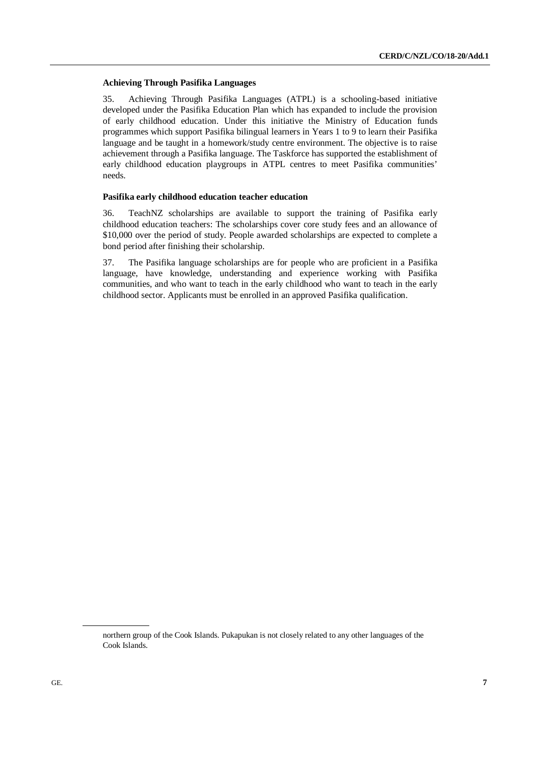### **Achieving Through Pasifika Languages**

35. Achieving Through Pasifika Languages (ATPL) is a schooling-based initiative developed under the Pasifika Education Plan which has expanded to include the provision of early childhood education. Under this initiative the Ministry of Education funds programmes which support Pasifika bilingual learners in Years 1 to 9 to learn their Pasifika language and be taught in a homework/study centre environment. The objective is to raise achievement through a Pasifika language. The Taskforce has supported the establishment of early childhood education playgroups in ATPL centres to meet Pasifika communities' needs.

## **Pasifika early childhood education teacher education**

36. TeachNZ scholarships are available to support the training of Pasifika early childhood education teachers: The scholarships cover core study fees and an allowance of \$10,000 over the period of study. People awarded scholarships are expected to complete a bond period after finishing their scholarship.

37. The Pasifika language scholarships are for people who are proficient in a Pasifika language, have knowledge, understanding and experience working with Pasifika communities, and who want to teach in the early childhood who want to teach in the early childhood sector. Applicants must be enrolled in an approved Pasifika qualification.

northern group of the Cook Islands. Pukapukan is not closely related to any other languages of the Cook Islands.